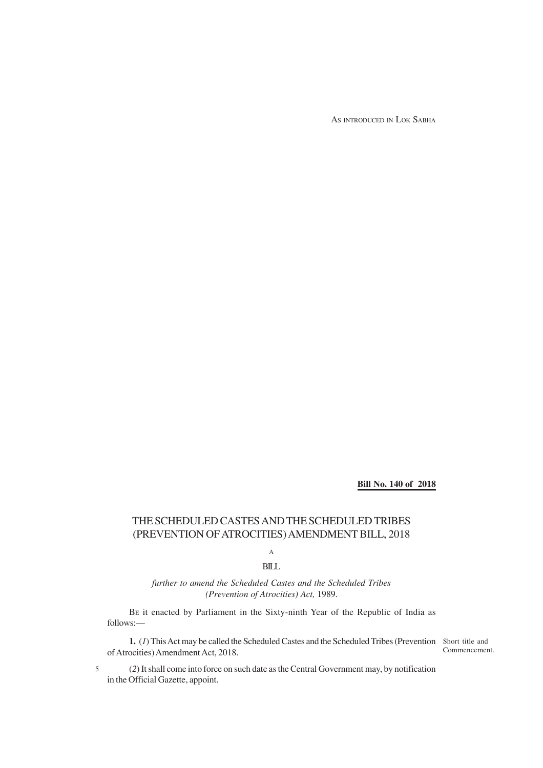AS INTRODUCED IN LOK SABHA

**Bill No. 140 of 2018**

## THE SCHEDULED CASTES AND THE SCHEDULED TRIBES (PREVENTION OF ATROCITIES) AMENDMENT BILL, 2018

A

## BILL

*further to amend the Scheduled Castes and the Scheduled Tribes (Prevention of Atrocities) Act,* 1989.

BE it enacted by Parliament in the Sixty-ninth Year of the Republic of India as follows:—

**1.** (*1*) This Act may be called the Scheduled Castes and the Scheduled Tribes (Prevention Short title and of Atrocities) Amendment Act, 2018.

Commencement.

(*2*) It shall come into force on such date as the Central Government may, by notification in the Official Gazette, appoint.

5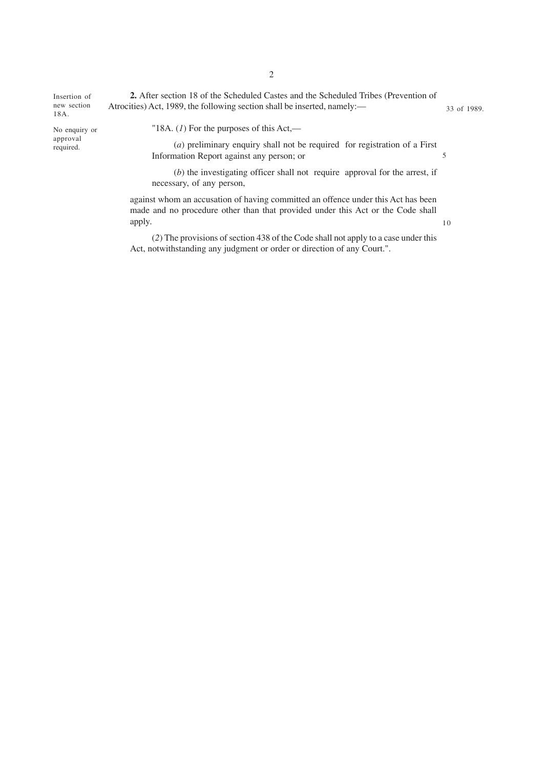**2.** After section 18 of the Scheduled Castes and the Scheduled Tribes (Prevention of Atrocities) Act, 1989, the following section shall be inserted, namely:— Insertion of new section 18A. 33 of 1989.

No enquiry or approval required.

"18A. (*1*) For the purposes of this Act,—

(*a*) preliminary enquiry shall not be required for registration of a First Information Report against any person; or 5

(*b*) the investigating officer shall not require approval for the arrest, if necessary, of any person,

10

against whom an accusation of having committed an offence under this Act has been made and no procedure other than that provided under this Act or the Code shall apply.

(*2*) The provisions of section 438 of the Code shall not apply to a case under this Act, notwithstanding any judgment or order or direction of any Court.".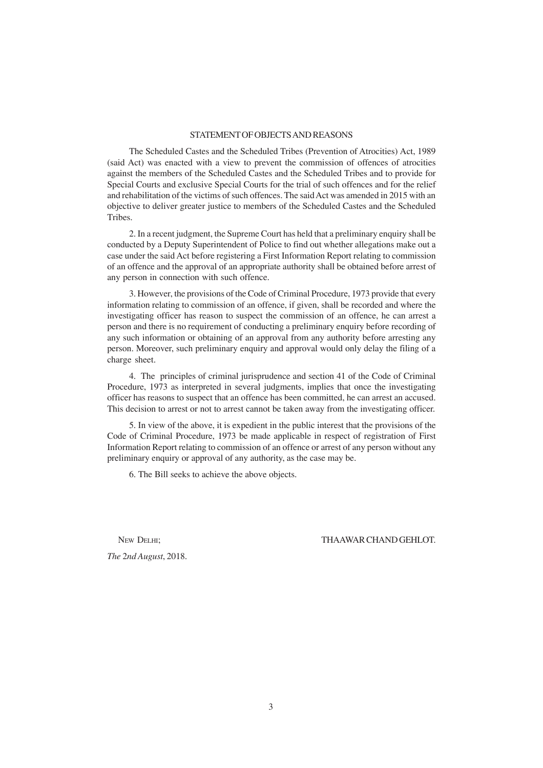## STATEMENT OF OBJECTS AND REASONS

The Scheduled Castes and the Scheduled Tribes (Prevention of Atrocities) Act, 1989 (said Act) was enacted with a view to prevent the commission of offences of atrocities against the members of the Scheduled Castes and the Scheduled Tribes and to provide for Special Courts and exclusive Special Courts for the trial of such offences and for the relief and rehabilitation of the victims of such offences. The said Act was amended in 2015 with an objective to deliver greater justice to members of the Scheduled Castes and the Scheduled Tribes.

2. In a recent judgment, the Supreme Court has held that a preliminary enquiry shall be conducted by a Deputy Superintendent of Police to find out whether allegations make out a case under the said Act before registering a First Information Report relating to commission of an offence and the approval of an appropriate authority shall be obtained before arrest of any person in connection with such offence.

3. However, the provisions of the Code of Criminal Procedure, 1973 provide that every information relating to commission of an offence, if given, shall be recorded and where the investigating officer has reason to suspect the commission of an offence, he can arrest a person and there is no requirement of conducting a preliminary enquiry before recording of any such information or obtaining of an approval from any authority before arresting any person. Moreover, such preliminary enquiry and approval would only delay the filing of a charge sheet.

4. The principles of criminal jurisprudence and section 41 of the Code of Criminal Procedure, 1973 as interpreted in several judgments, implies that once the investigating officer has reasons to suspect that an offence has been committed, he can arrest an accused. This decision to arrest or not to arrest cannot be taken away from the investigating officer.

5. In view of the above, it is expedient in the public interest that the provisions of the Code of Criminal Procedure, 1973 be made applicable in respect of registration of First Information Report relating to commission of an offence or arrest of any person without any preliminary enquiry or approval of any authority, as the case may be.

6. The Bill seeks to achieve the above objects.

*The* 2*nd August*, 2018.

NEW DELHI; THAAWAR CHAND GEHLOT.